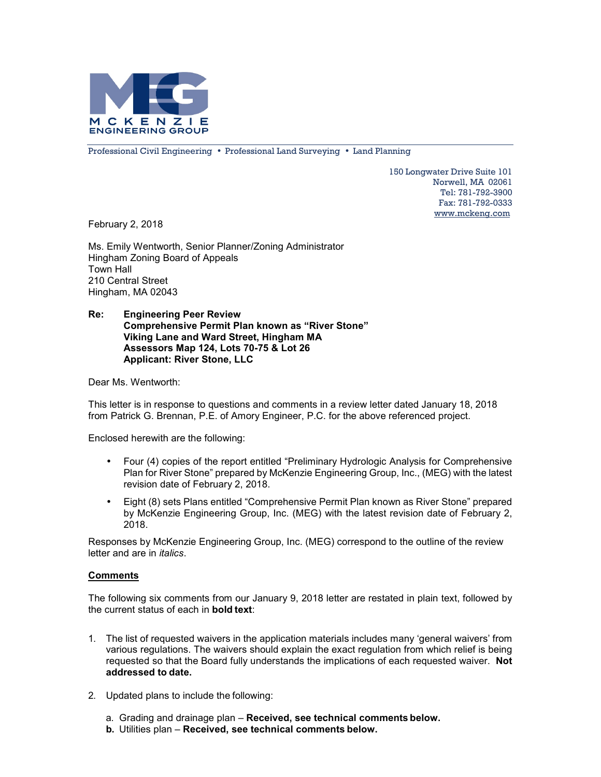

Professional Civil Engineering • Professional Land Surveying • Land Planning

150 Longwater Drive Suite 101 Norwell, MA 02061 Tel: 781-792-3900 Fax: 781-792-0333 www.mckeng.com

February 2, 2018

Ms. Emily Wentworth, Senior Planner/Zoning Administrator Hingham Zoning Board of Appeals Town Hall 210 Central Street Hingham, MA 02043

# **Re: Engineering Peer Review Comprehensive Permit Plan known as "River Stone" Viking Lane and Ward Street, Hingham MA Assessors Map 124, Lots 70-75 & Lot 26 Applicant: River Stone, LLC**

Dear Ms. Wentworth:

This letter is in response to questions and comments in a review letter dated January 18, 2018 from Patrick G. Brennan, P.E. of Amory Engineer, P.C. for the above referenced project.

Enclosed herewith are the following:

- Four (4) copies of the report entitled "Preliminary Hydrologic Analysis for Comprehensive Plan for River Stone" prepared by McKenzie Engineering Group, Inc., (MEG) with the latest revision date of February 2, 2018.
- Eight (8) sets Plans entitled "Comprehensive Permit Plan known as River Stone" prepared by McKenzie Engineering Group, Inc. (MEG) with the latest revision date of February 2, 2018.

Responses by McKenzie Engineering Group, Inc. (MEG) correspond to the outline of the review letter and are in *italics*.

# **Comments**

The following six comments from our January 9, 2018 letter are restated in plain text, followed by the current status of each in **bold text**:

- 1. The list of requested waivers in the application materials includes many 'general waivers' from various regulations. The waivers should explain the exact regulation from which relief is being requested so that the Board fully understands the implications of each requested waiver. **Not addressed to date.**
- 2. Updated plans to include the following:
	- a. Grading and drainage plan **Received, see technical comments below.**
	- **b.** Utilities plan **Received, see technical comments below.**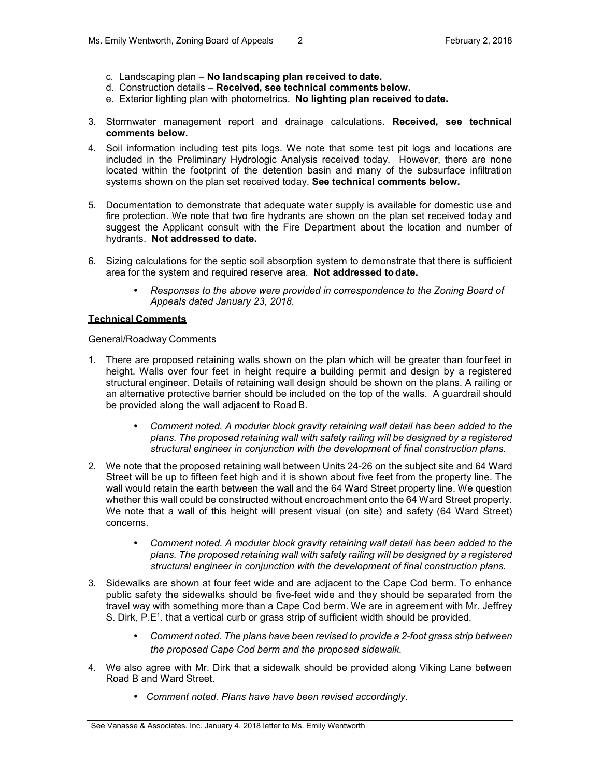- c. Landscaping plan **No landscaping plan received to date.**
- d. Construction details **Received, see technical comments below.**
- e. Exterior lighting plan with photometrics. **No lighting plan received to date.**
- 3. Stormwater management report and drainage calculations. **Received, see technical comments below.**
- 4. Soil information including test pits logs. We note that some test pit logs and locations are included in the Preliminary Hydrologic Analysis received today. However, there are none located within the footprint of the detention basin and many of the subsurface infiltration systems shown on the plan set received today. **See technical comments below.**
- 5. Documentation to demonstrate that adequate water supply is available for domestic use and fire protection. We note that two fire hydrants are shown on the plan set received today and suggest the Applicant consult with the Fire Department about the location and number of hydrants. **Not addressed to date.**
- 6. Sizing calculations for the septic soil absorption system to demonstrate that there is sufficient area for the system and required reserve area. **Not addressed to date.**
	- *Responses to the above were provided in correspondence to the Zoning Board of Appeals dated January 23, 2018.*

### **Technical Comments**

### General/Roadway Comments

- 1. There are proposed retaining walls shown on the plan which will be greater than four feet in height. Walls over four feet in height require a building permit and design by a registered structural engineer. Details of retaining wall design should be shown on the plans. A railing or an alternative protective barrier should be included on the top of the walls. A guardrail should be provided along the wall adjacent to Road B.
	- *Comment noted. A modular block gravity retaining wall detail has been added to the plans. The proposed retaining wall with safety railing will be designed by a registered structural engineer in conjunction with the development of final construction plans.*
- 2. We note that the proposed retaining wall between Units 24-26 on the subject site and 64 Ward Street will be up to fifteen feet high and it is shown about five feet from the property line. The wall would retain the earth between the wall and the 64 Ward Street property line. We question whether this wall could be constructed without encroachment onto the 64 Ward Street property. We note that a wall of this height will present visual (on site) and safety (64 Ward Street) concerns.
	- *Comment noted. A modular block gravity retaining wall detail has been added to the plans. The proposed retaining wall with safety railing will be designed by a registered structural engineer in conjunction with the development of final construction plans.*
- 3. Sidewalks are shown at four feet wide and are adjacent to the Cape Cod berm. To enhance public safety the sidewalks should be five-feet wide and they should be separated from the travel way with something more than a Cape Cod berm. We are in agreement with Mr. Jeffrey S. Dirk, P.E<sup>1</sup>. that a vertical curb or grass strip of sufficient width should be provided.
	- *Comment noted. The plans have been revised to provide a 2-foot grass strip between the proposed Cape Cod berm and the proposed sidewalk.*
- 4. We also agree with Mr. Dirk that a sidewalk should be provided along Viking Lane between Road B and Ward Street.
	- *Comment noted. Plans have have been revised accordingly.*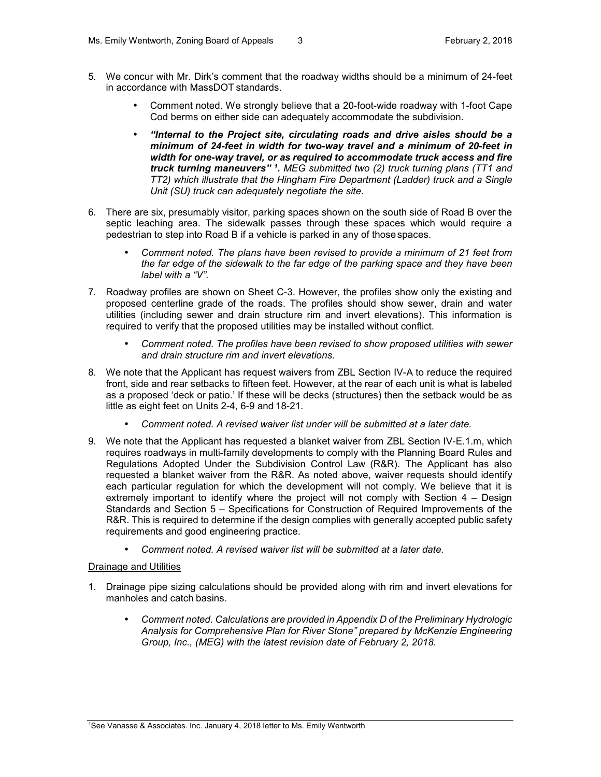- 5. We concur with Mr. Dirk's comment that the roadway widths should be a minimum of 24-feet in accordance with MassDOT standards.
	- Comment noted. We strongly believe that a 20-foot-wide roadway with 1-foot Cape Cod berms on either side can adequately accommodate the subdivision.
	- *"Internal to the Project site, circulating roads and drive aisles should be a minimum of 24-feet in width for two-way travel and a minimum of 20-feet in width for one-way travel, or as required to accommodate truck access and fire truck turning maneuvers" <sup>1</sup> . MEG submitted two (2) truck turning plans (TT1 and TT2) which illustrate that the Hingham Fire Department (Ladder) truck and a Single Unit (SU) truck can adequately negotiate the site.*
- 6. There are six, presumably visitor, parking spaces shown on the south side of Road B over the septic leaching area. The sidewalk passes through these spaces which would require a pedestrian to step into Road B if a vehicle is parked in any of those spaces.
	- *Comment noted. The plans have been revised to provide a minimum of 21 feet from the far edge of the sidewalk to the far edge of the parking space and they have been label with a "V".*
- 7. Roadway profiles are shown on Sheet C-3. However, the profiles show only the existing and proposed centerline grade of the roads. The profiles should show sewer, drain and water utilities (including sewer and drain structure rim and invert elevations). This information is required to verify that the proposed utilities may be installed without conflict.
	- *Comment noted. The profiles have been revised to show proposed utilities with sewer and drain structure rim and invert elevations.*
- 8. We note that the Applicant has request waivers from ZBL Section IV-A to reduce the required front, side and rear setbacks to fifteen feet. However, at the rear of each unit is what is labeled as a proposed 'deck or patio.' If these will be decks (structures) then the setback would be as little as eight feet on Units 2-4, 6-9 and 18-21.
	- *Comment noted. A revised waiver list under will be submitted at a later date.*
- 9. We note that the Applicant has requested a blanket waiver from ZBL Section IV-E.1.m, which requires roadways in multi-family developments to comply with the Planning Board Rules and Regulations Adopted Under the Subdivision Control Law (R&R). The Applicant has also requested a blanket waiver from the R&R. As noted above, waiver requests should identify each particular regulation for which the development will not comply. We believe that it is extremely important to identify where the project will not comply with Section 4 – Design Standards and Section 5 – Specifications for Construction of Required Improvements of the R&R. This is required to determine if the design complies with generally accepted public safety requirements and good engineering practice.
	- *Comment noted. A revised waiver list will be submitted at a later date.*

# Drainage and Utilities

- 1. Drainage pipe sizing calculations should be provided along with rim and invert elevations for manholes and catch basins.
	- *Comment noted. Calculations are provided in Appendix D of the Preliminary Hydrologic Analysis for Comprehensive Plan for River Stone" prepared by McKenzie Engineering Group, Inc., (MEG) with the latest revision date of February 2, 2018.*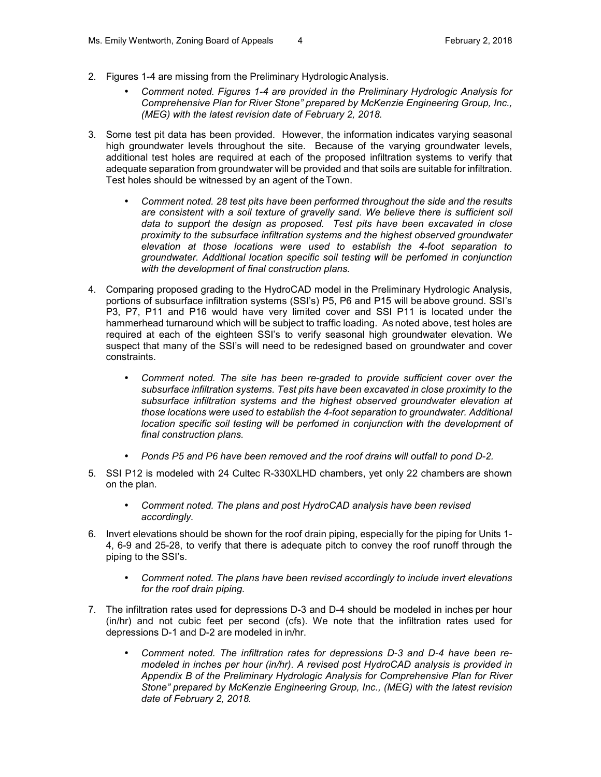- 2. Figures 1-4 are missing from the Preliminary Hydrologic Analysis.
	- *Comment noted. Figures 1-4 are provided in the Preliminary Hydrologic Analysis for Comprehensive Plan for River Stone" prepared by McKenzie Engineering Group, Inc., (MEG) with the latest revision date of February 2, 2018.*
- 3. Some test pit data has been provided. However, the information indicates varying seasonal high groundwater levels throughout the site. Because of the varying groundwater levels, additional test holes are required at each of the proposed infiltration systems to verify that adequate separation from groundwater will be provided and that soils are suitable for infiltration. Test holes should be witnessed by an agent of the Town.
	- *Comment noted. 28 test pits have been performed throughout the side and the results are consistent with a soil texture of gravelly sand. We believe there is sufficient soil data to support the design as proposed. Test pits have been excavated in close proximity to the subsurface infiltration systems and the highest observed groundwater elevation at those locations were used to establish the 4-foot separation to groundwater. Additional location specific soil testing will be perfomed in conjunction with the development of final construction plans.*
- 4. Comparing proposed grading to the HydroCAD model in the Preliminary Hydrologic Analysis, portions of subsurface infiltration systems (SSI's) P5, P6 and P15 will be above ground. SSI's P3, P7, P11 and P16 would have very limited cover and SSI P11 is located under the hammerhead turnaround which will be subject to traffic loading. As noted above, test holes are required at each of the eighteen SSI's to verify seasonal high groundwater elevation. We suspect that many of the SSI's will need to be redesigned based on groundwater and cover constraints.
	- *Comment noted. The site has been re-graded to provide sufficient cover over the subsurface infiltration systems. Test pits have been excavated in close proximity to the subsurface infiltration systems and the highest observed groundwater elevation at those locations were used to establish the 4-foot separation to groundwater. Additional location specific soil testing will be perfomed in conjunction with the development of final construction plans.*
	- *Ponds P5 and P6 have been removed and the roof drains will outfall to pond D-2.*
- 5. SSI P12 is modeled with 24 Cultec R-330XLHD chambers, yet only 22 chambers are shown on the plan.
	- *Comment noted. The plans and post HydroCAD analysis have been revised accordingly.*
- 6. Invert elevations should be shown for the roof drain piping, especially for the piping for Units 1- 4, 6-9 and 25-28, to verify that there is adequate pitch to convey the roof runoff through the piping to the SSI's.
	- *Comment noted. The plans have been revised accordingly to include invert elevations for the roof drain piping.*
- 7. The infiltration rates used for depressions D-3 and D-4 should be modeled in inches per hour (in/hr) and not cubic feet per second (cfs). We note that the infiltration rates used for depressions D-1 and D-2 are modeled in in/hr.
	- *Comment noted. The infiltration rates for depressions D-3 and D-4 have been remodeled in inches per hour (in/hr). A revised post HydroCAD analysis is provided in Appendix B of the Preliminary Hydrologic Analysis for Comprehensive Plan for River Stone" prepared by McKenzie Engineering Group, Inc., (MEG) with the latest revision date of February 2, 2018.*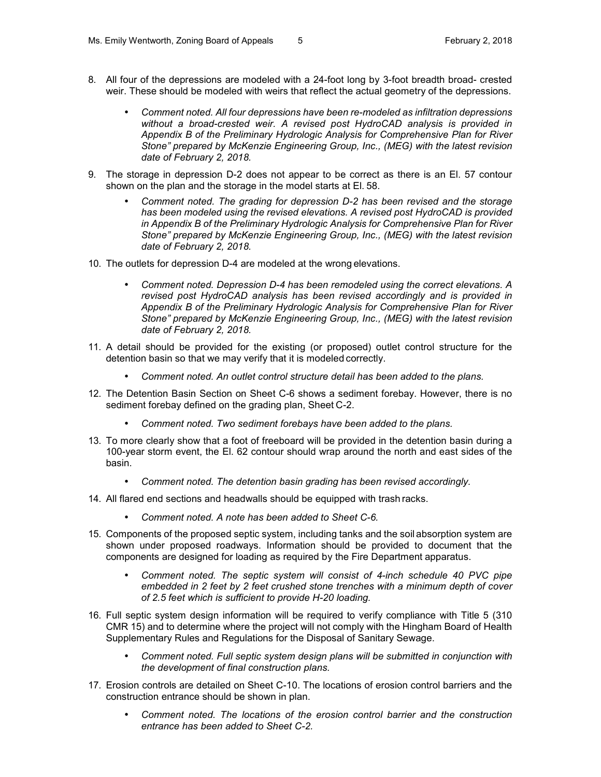- 8. All four of the depressions are modeled with a 24-foot long by 3-foot breadth broad- crested weir. These should be modeled with weirs that reflect the actual geometry of the depressions.
	- *Comment noted. All four depressions have been re-modeled as infiltration depressions without a broad-crested weir. A revised post HydroCAD analysis is provided in Appendix B of the Preliminary Hydrologic Analysis for Comprehensive Plan for River Stone" prepared by McKenzie Engineering Group, Inc., (MEG) with the latest revision date of February 2, 2018.*
- 9. The storage in depression D-2 does not appear to be correct as there is an El. 57 contour shown on the plan and the storage in the model starts at El. 58.
	- *Comment noted. The grading for depression D-2 has been revised and the storage has been modeled using the revised elevations. A revised post HydroCAD is provided in Appendix B of the Preliminary Hydrologic Analysis for Comprehensive Plan for River Stone" prepared by McKenzie Engineering Group, Inc., (MEG) with the latest revision date of February 2, 2018.*
- 10. The outlets for depression D-4 are modeled at the wrong elevations.
	- *Comment noted. Depression D-4 has been remodeled using the correct elevations. A revised post HydroCAD analysis has been revised accordingly and is provided in Appendix B of the Preliminary Hydrologic Analysis for Comprehensive Plan for River Stone" prepared by McKenzie Engineering Group, Inc., (MEG) with the latest revision date of February 2, 2018.*
- 11. A detail should be provided for the existing (or proposed) outlet control structure for the detention basin so that we may verify that it is modeled correctly.
	- *Comment noted. An outlet control structure detail has been added to the plans.*
- 12. The Detention Basin Section on Sheet C-6 shows a sediment forebay. However, there is no sediment forebay defined on the grading plan, Sheet C-2.
	- *Comment noted. Two sediment forebays have been added to the plans.*
- 13. To more clearly show that a foot of freeboard will be provided in the detention basin during a 100-year storm event, the El. 62 contour should wrap around the north and east sides of the basin.
	- *Comment noted. The detention basin grading has been revised accordingly.*
- 14. All flared end sections and headwalls should be equipped with trash racks.
	- *Comment noted. A note has been added to Sheet C-6.*
- 15. Components of the proposed septic system, including tanks and the soil absorption system are shown under proposed roadways. Information should be provided to document that the components are designed for loading as required by the Fire Department apparatus.
	- *Comment noted. The septic system will consist of 4-inch schedule 40 PVC pipe embedded in 2 feet by 2 feet crushed stone trenches with a minimum depth of cover of 2.5 feet which is sufficient to provide H-20 loading.*
- 16. Full septic system design information will be required to verify compliance with Title 5 (310 CMR 15) and to determine where the project will not comply with the Hingham Board of Health Supplementary Rules and Regulations for the Disposal of Sanitary Sewage.
	- *Comment noted. Full septic system design plans will be submitted in conjunction with the development of final construction plans.*
- 17. Erosion controls are detailed on Sheet C-10. The locations of erosion control barriers and the construction entrance should be shown in plan.
	- *Comment noted. The locations of the erosion control barrier and the construction entrance has been added to Sheet C-2.*